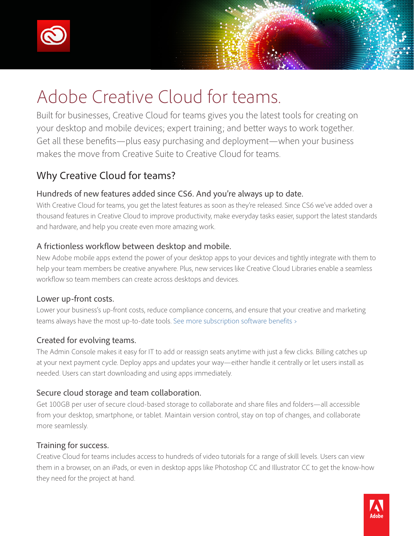



Built for businesses, Creative Cloud for teams gives you the latest tools for creating on your desktop and mobile devices; expert training; and better ways to work together. Get all these benefits—plus easy purchasing and deployment—when your business makes the move from Creative Suite to Creative Cloud for teams.

# Why Creative Cloud for teams?

#### Hundreds of new features added since CS6. And you're always up to date.

With Creative Cloud for teams, you get the latest features as soon as they're released. Since CS6 we've added over a thousand features in Creative Cloud to improve productivity, make everyday tasks easier, support the latest standards and hardware, and help you create even more amazing work.

### A frictionless workflow between desktop and mobile.

New Adobe mobile apps extend the power of your desktop apps to your devices and tightly integrate with them to help your team members be creative anywhere. Plus, new services like Creative Cloud Libraries enable a seamless workflow so team members can create across desktops and devices.

#### Lower up-front costs.

Lower your business's up-front costs, reduce compliance concerns, and ensure that your creative and marketing teams always have the most up-to-date tools. [See more subscription software benefits ›](http://www.adobe.com/content/dam/Adobe/en/products/creativecloud/cc/pdfs/cct_infographic.pdf)

#### Created for evolving teams.

The Admin Console makes it easy for IT to add or reassign seats anytime with just a few clicks. Billing catches up at your next payment cycle. Deploy apps and updates your way—either handle it centrally or let users install as needed. Users can start downloading and using apps immediately.

#### Secure cloud storage and team collaboration.

Get 100GB per user of secure cloud-based storage to collaborate and share files and folders—all accessible from your desktop, smartphone, or tablet. Maintain version control, stay on top of changes, and collaborate more seamlessly.

#### Training for success.

Creative Cloud for teams includes access to hundreds of video tutorials for a range of skill levels. Users can view them in a browser, on an iPads, or even in desktop apps like Photoshop CC and Illustrator CC to get the know-how they need for the project at hand.